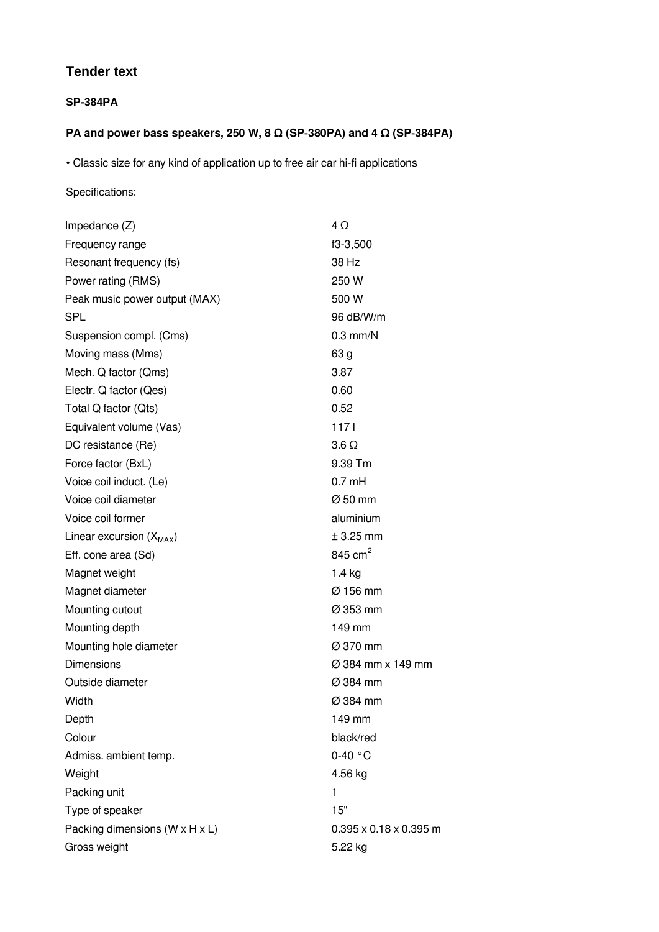## **Tender text**

## **SP-384PA**

## **PA and power bass speakers, 250 W, 8 Ω (SP‑380PA) and 4 Ω (SP‑384PA)**

• Classic size for any kind of application up to free air car hi-fi applications

## Specifications:

| Impedance $(Z)$                | 4Ω                                 |
|--------------------------------|------------------------------------|
| Frequency range                | f3-3,500                           |
| Resonant frequency (fs)        | 38 Hz                              |
| Power rating (RMS)             | 250 W                              |
| Peak music power output (MAX)  | 500 W                              |
| <b>SPL</b>                     | 96 dB/W/m                          |
| Suspension compl. (Cms)        | $0.3$ mm/N                         |
| Moving mass (Mms)              | 63 g                               |
| Mech. Q factor (Qms)           | 3.87                               |
| Electr. Q factor (Qes)         | 0.60                               |
| Total Q factor (Qts)           | 0.52                               |
| Equivalent volume (Vas)        | 1171                               |
| DC resistance (Re)             | $3.6 \Omega$                       |
| Force factor (BxL)             | 9.39 Tm                            |
| Voice coil induct. (Le)        | $0.7$ mH                           |
| Voice coil diameter            | Ø 50 mm                            |
| Voice coil former              | aluminium                          |
| Linear excursion $(X_{MAX})$   | $±$ 3.25 mm                        |
| Eff. cone area (Sd)            | 845 cm <sup>2</sup>                |
| Magnet weight                  | $1.4$ kg                           |
| Magnet diameter                | Ø 156 mm                           |
| Mounting cutout                | $\varnothing$ 353 mm               |
| Mounting depth                 | 149 mm                             |
| Mounting hole diameter         | Ø 370 mm                           |
| <b>Dimensions</b>              | Ø 384 mm x 149 mm                  |
| Outside diameter               | Ø 384 mm                           |
| Width                          | Ø 384 mm                           |
| Depth                          | 149 mm                             |
| Colour                         | black/red                          |
| Admiss. ambient temp.          | $0-40$ °C                          |
| Weight                         | 4.56 kg                            |
| Packing unit                   | 1                                  |
| Type of speaker                | 15"                                |
| Packing dimensions (W x H x L) | $0.395 \times 0.18 \times 0.395$ m |
| Gross weight                   | 5.22 kg                            |